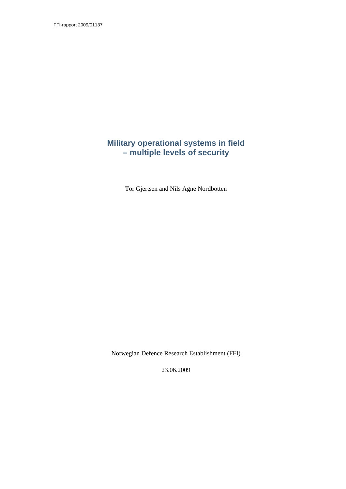FFI-rapport 2009/01137

## **Military operational systems in field – multiple levels of security**

Tor Gjertsen and Nils Agne Nordbotten

Norwegian Defence Research Establishment (FFI)

23.06.2009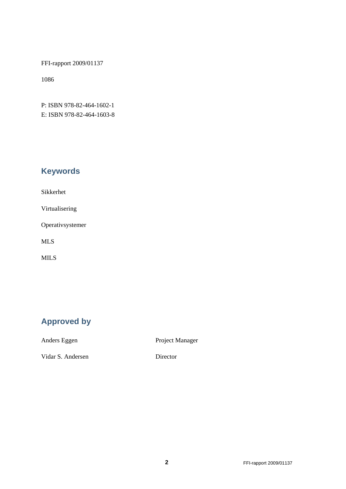FFI-rapport 2009/01137

1086

P: ISBN 978-82-464-1602-1 E: ISBN 978-82-464-1603-8

# **Keywords**

Sikkerhet

Virtualisering

Operativsystemer

MLS

MILS

# **Approved by**

Anders Eggen Project Manager

Vidar S. Andersen Director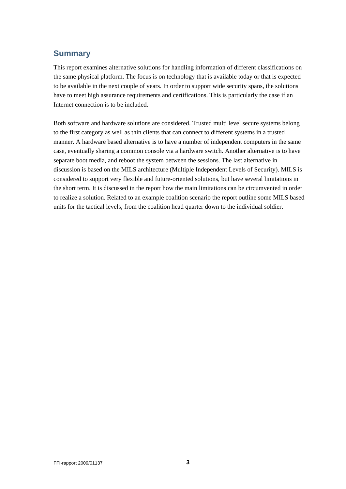### **Summary**

This report examines alternative solutions for handling information of different classifications on the same physical platform. The focus is on technology that is available today or that is expected to be available in the next couple of years. In order to support wide security spans, the solutions have to meet high assurance requirements and certifications. This is particularly the case if an Internet connection is to be included.

Both software and hardware solutions are considered. Trusted multi level secure systems belong to the first category as well as thin clients that can connect to different systems in a trusted manner. A hardware based alternative is to have a number of independent computers in the same case, eventually sharing a common console via a hardware switch. Another alternative is to have separate boot media, and reboot the system between the sessions. The last alternative in discussion is based on the MILS architecture (Multiple Independent Levels of Security). MILS is considered to support very flexible and future-oriented solutions, but have several limitations in the short term. It is discussed in the report how the main limitations can be circumvented in order to realize a solution. Related to an example coalition scenario the report outline some MILS based units for the tactical levels, from the coalition head quarter down to the individual soldier.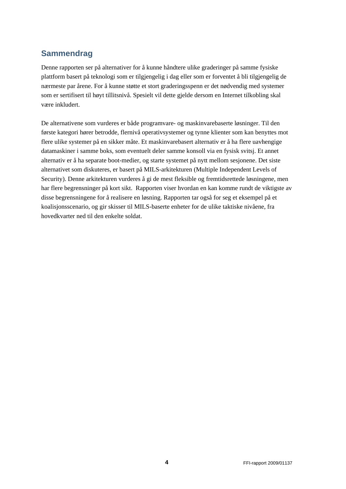# **Sammendrag**

Denne rapporten ser på alternativer for å kunne håndtere ulike graderinger på samme fysiske plattform basert på teknologi som er tilgjengelig i dag eller som er forventet å bli tilgjengelig de nærmeste par årene. For å kunne støtte et stort graderingsspenn er det nødvendig med systemer som er sertifisert til høyt tillitsnivå. Spesielt vil dette gjelde dersom en Internet tilkobling skal være inkludert.

De alternativene som vurderes er både programvare- og maskinvarebaserte løsninger. Til den første kategori hører betrodde, flernivå operativsystemer og tynne klienter som kan benyttes mot flere ulike systemer på en sikker måte. Et maskinvarebasert alternativ er å ha flere uavhengige datamaskiner i samme boks, som eventuelt deler samme konsoll via en fysisk svitsj. Et annet alternativ er å ha separate boot-medier, og starte systemet på nytt mellom sesjonene. Det siste alternativet som diskuteres, er basert på MILS-arkitekturen (Multiple Independent Levels of Security). Denne arkitekturen vurderes å gi de mest fleksible og fremtidsrettede løsningene, men har flere begrensninger på kort sikt. Rapporten viser hvordan en kan komme rundt de viktigste av disse begrensningene for å realisere en løsning. Rapporten tar også for seg et eksempel på et koalisjonsscenario, og gir skisser til MILS-baserte enheter for de ulike taktiske nivåene, fra hovedkvarter ned til den enkelte soldat.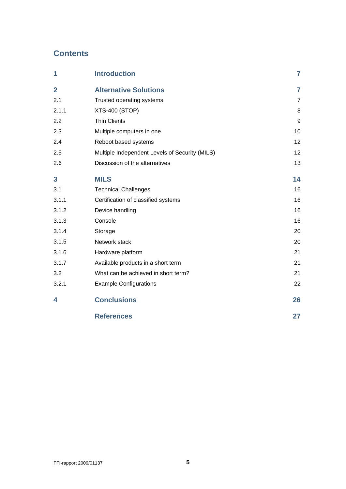# **Contents**

| 1              | <b>Introduction</b>                            | $\overline{7}$ |
|----------------|------------------------------------------------|----------------|
| $\overline{2}$ | <b>Alternative Solutions</b>                   | $\overline{7}$ |
| 2.1            | Trusted operating systems                      | 7              |
| 2.1.1          | <b>XTS-400 (STOP)</b>                          | 8              |
| 2.2            | <b>Thin Clients</b>                            | 9              |
| 2.3            | Multiple computers in one                      | 10             |
| 2.4            | Reboot based systems                           | 12             |
| 2.5            | Multiple Independent Levels of Security (MILS) | 12             |
| 2.6            | Discussion of the alternatives                 | 13             |
| 3              | <b>MILS</b>                                    | 14             |
| 3.1            | <b>Technical Challenges</b>                    | 16             |
| 3.1.1          | Certification of classified systems            | 16             |
| 3.1.2          | Device handling                                | 16             |
| 3.1.3          | Console                                        | 16             |
| 3.1.4          | Storage                                        | 20             |
| 3.1.5          | Network stack                                  | 20             |
| 3.1.6          | Hardware platform                              | 21             |
| 3.1.7          | Available products in a short term             | 21             |
| 3.2            | What can be achieved in short term?            | 21             |
| 3.2.1          | <b>Example Configurations</b>                  | 22             |
| 4              | <b>Conclusions</b>                             | 26             |
|                | <b>References</b>                              | 27             |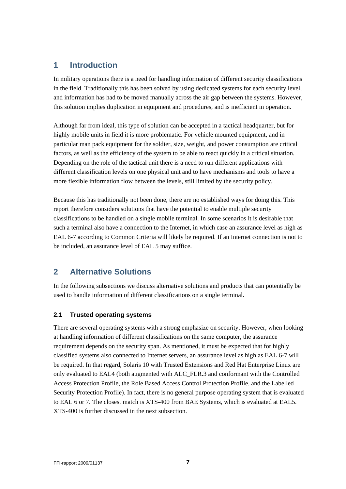### <span id="page-6-0"></span>**1 Introduction**

In military operations there is a need for handling information of different security classifications in the field. Traditionally this has been solved by using dedicated systems for each security level, and information has had to be moved manually across the air gap between the systems. However, this solution implies duplication in equipment and procedures, and is inefficient in operation.

Although far from ideal, this type of solution can be accepted in a tactical headquarter, but for highly mobile units in field it is more problematic. For vehicle mounted equipment, and in particular man pack equipment for the soldier, size, weight, and power consumption are critical factors, as well as the efficiency of the system to be able to react quickly in a critical situation. Depending on the role of the tactical unit there is a need to run different applications with different classification levels on one physical unit and to have mechanisms and tools to have a more flexible information flow between the levels, still limited by the security policy.

Because this has traditionally not been done, there are no established ways for doing this. This report therefore considers solutions that have the potential to enable multiple security classifications to be handled on a single mobile terminal. In some scenarios it is desirable that such a terminal also have a connection to the Internet, in which case an assurance level as high as EAL 6-7 according to Common Criteria will likely be required. If an Internet connection is not to be included, an assurance level of EAL 5 may suffice.

### **2 Alternative Solutions**

In the following subsections we discuss alternative solutions and products that can potentially be used to handle information of different classifications on a single terminal.

### **2.1 Trusted operating systems**

There are several operating systems with a strong emphasize on security. However, when looking at handling information of different classifications on the same computer, the assurance requirement depends on the security span. As mentioned, it must be expected that for highly classified systems also connected to Internet servers, an assurance level as high as EAL 6-7 will be required. In that regard, Solaris 10 with Trusted Extensions and Red Hat Enterprise Linux are only evaluated to EAL4 (both augmented with ALC\_FLR.3 and conformant with the Controlled Access Protection Profile, the Role Based Access Control Protection Profile, and the Labelled Security Protection Profile). In fact, there is no general purpose operating system that is evaluated to EAL 6 or 7. The closest match is XTS-400 from BAE Systems, which is evaluated at EAL5. XTS-400 is further discussed in the next subsection.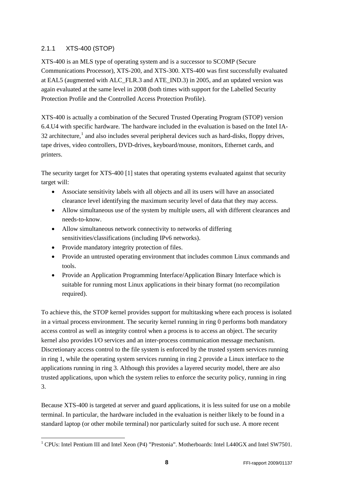### <span id="page-7-0"></span>2.1.1 XTS-400 (STOP)

XTS-400 is an MLS type of operating system and is a successor to SCOMP (Secure Communications Processor), XTS-200, and XTS-300. XTS-400 was first successfully evaluated at EAL5 (augmented with ALC\_FLR.3 and ATE\_IND.3) in 2005, and an updated version was again evaluated at the same level in 2008 (both times with support for the Labelled Security Protection Profile and the Controlled Access Protection Profile).

XTS-400 is actually a combination of the Secured Trusted Operating Program (STOP) version 6.4.U4 with specific hardware. The hardware included in the evaluation is based on the Intel IA- $32$  architecture,<sup>[1](#page-7-1)</sup> and also includes several peripheral devices such as hard-disks, floppy drives, tape drives, video controllers, DVD-drives, keyboard/mouse, monitors, Ethernet cards, and printers.

The security target for XTS-400 [1] states that operating systems evaluated against that security target will:

- Associate sensitivity labels with all objects and all its users will have an associated clearance level identifying the maximum security level of data that they may access.
- Allow simultaneous use of the system by multiple users, all with different clearances and needs-to-know.
- Allow simultaneous network connectivity to networks of differing sensitivities/classifications (including IPv6 networks).
- Provide mandatory integrity protection of files.

-

- Provide an untrusted operating environment that includes common Linux commands and tools.
- Provide an Application Programming Interface/Application Binary Interface which is suitable for running most Linux applications in their binary format (no recompilation required).

To achieve this, the STOP kernel provides support for multitasking where each process is isolated in a virtual process environment. The security kernel running in ring 0 performs both mandatory access control as well as integrity control when a process is to access an object. The security kernel also provides I/O services and an inter-process communication message mechanism. Discretionary access control to the file system is enforced by the trusted system services running in ring 1, while the operating system services running in ring 2 provide a Linux interface to the applications running in ring 3. Although this provides a layered security model, there are also trusted applications, upon which the system relies to enforce the security policy, running in ring 3.

Because XTS-400 is targeted at server and guard applications, it is less suited for use on a mobile terminal. In particular, the hardware included in the evaluation is neither likely to be found in a standard laptop (or other mobile terminal) nor particularly suited for such use. A more recent

<span id="page-7-1"></span><sup>&</sup>lt;sup>1</sup> CPUs: Intel Pentium III and Intel Xeon (P4) "Prestonia". Motherboards: Intel L440GX and Intel SW7501.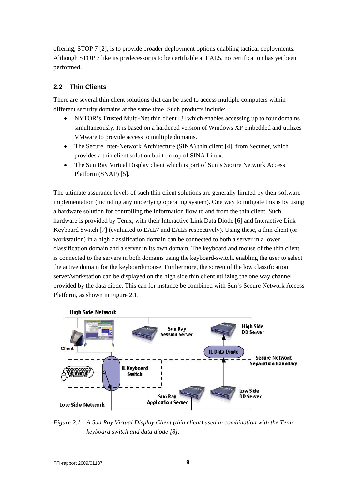<span id="page-8-0"></span>offering, STOP 7 [2], is to provide broader deployment options enabling tactical deployments. Although STOP 7 like its predecessor is to be certifiable at EAL5, no certification has yet been performed.

### <span id="page-8-2"></span>**2.2 Thin Clients**

There are several thin client solutions that can be used to access multiple computers within different security domains at the same time. Such products include:

- NYTOR's Trusted Multi-Net thin client [3] which enables accessing up to four domains simultaneously. It is based on a hardened version of Windows XP embedded and utilizes VMware to provide access to multiple domains.
- The Secure Inter-Network Architecture (SINA) thin client [4], from Secunet, which provides a thin client solution built on top of SINA Linux.
- The Sun Ray Virtual Display client which is part of Sun's Secure Network Access Platform (SNAP) [5].

The ultimate assurance levels of such thin client solutions are generally limited by their software implementation (including any underlying operating system). One way to mitigate this is by using a hardware solution for controlling the information flow to and from the thin client. Such hardware is provided by Tenix, with their Interactive Link Data Diode [6] and Interactive Link Keyboard Switch [7] (evaluated to EAL7 and EAL5 respectively). Using these, a thin client (or workstation) in a high classification domain can be connected to both a server in a lower classification domain and a server in its own domain. The keyboard and mouse of the thin client is connected to the servers in both domains using the keyboard-switch, enabling the user to select the active domain for the keyboard/mouse. Furthermore, the screen of the low classification server/workstation can be displayed on the high side thin client utilizing the one way channel provided by the data diode. This can for instance be combined with Sun's Secure Network Access Platform, as shown in [Figure 2.1](#page-8-1).



<span id="page-8-1"></span>*Figure 2.1 A Sun Ray Virtual Display Client (thin client) used in combination with the Tenix keyboard switch and data diode [8].*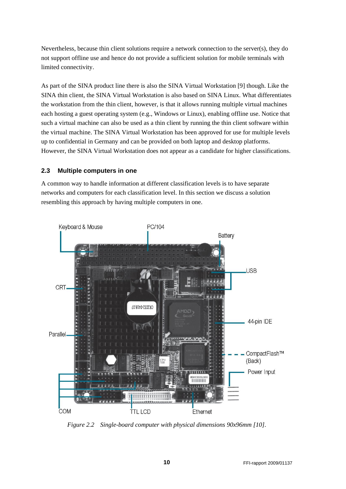<span id="page-9-0"></span>Nevertheless, because thin client solutions require a network connection to the server(s), they do not support offline use and hence do not provide a sufficient solution for mobile terminals with limited connectivity.

As part of the SINA product line there is also the SINA Virtual Workstation [9] though. Like the SINA thin client, the SINA Virtual Workstation is also based on SINA Linux. What differentiates the workstation from the thin client, however, is that it allows running multiple virtual machines each hosting a guest operating system (e.g., Windows or Linux), enabling offline use. Notice that such a virtual machine can also be used as a thin client by running the thin client software within the virtual machine. The SINA Virtual Workstation has been approved for use for multiple levels up to confidential in Germany and can be provided on both laptop and desktop platforms. However, the SINA Virtual Workstation does not appear as a candidate for higher classifications.

### **2.3 Multiple computers in one**

A common way to handle information at different classification levels is to have separate networks and computers for each classification level. In this section we discuss a solution resembling this approach by having multiple computers in one.



<span id="page-9-1"></span>*Figure 2.2 Single-board computer with physical dimensions 90x96mm [10].*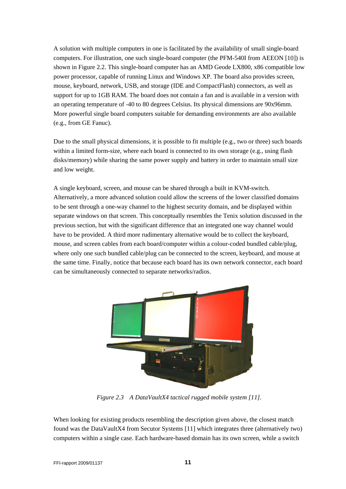A solution with multiple computers in one is facilitated by the availability of small single-board computers. For illustration, one such single-board computer (the PFM-540I from AEEON [10]) is shown in [Figure 2.2](#page-9-1). This single-board computer has an AMD Geode LX800, x86 compatible low power processor, capable of running Linux and Windows XP. The board also provides screen, mouse, keyboard, network, USB, and storage (IDE and CompactFlash) connectors, as well as support for up to 1GB RAM. The board does not contain a fan and is available in a version with an operating temperature of -40 to 80 degrees Celsius. Its physical dimensions are 90x96mm. More powerful single board computers suitable for demanding environments are also available (e.g., from GE Fanuc).

Due to the small physical dimensions, it is possible to fit multiple (e.g., two or three) such boards within a limited form-size, where each board is connected to its own storage (e.g., using flash disks/memory) while sharing the same power supply and battery in order to maintain small size and low weight.

A single keyboard, screen, and mouse can be shared through a built in KVM-switch. Alternatively, a more advanced solution could allow the screens of the lower classified domains to be sent through a one-way channel to the highest security domain, and be displayed within separate windows on that screen. This conceptually resembles the Tenix solution discussed in the previous section, but with the significant difference that an integrated one way channel would have to be provided. A third more rudimentary alternative would be to collect the keyboard, mouse, and screen cables from each board/computer within a colour-coded bundled cable/plug, where only one such bundled cable/plug can be connected to the screen, keyboard, and mouse at the same time. Finally, notice that because each board has its own network connector, each board can be simultaneously connected to separate networks/radios.



*Figure 2.3 A DataVaultX4 tactical rugged mobile system [11].* 

<span id="page-10-0"></span>When looking for existing products resembling the description given above, the closest match found was the DataVaultX4 from Secutor Systems [11] which integrates three (alternatively two) computers within a single case. Each hardware-based domain has its own screen, while a switch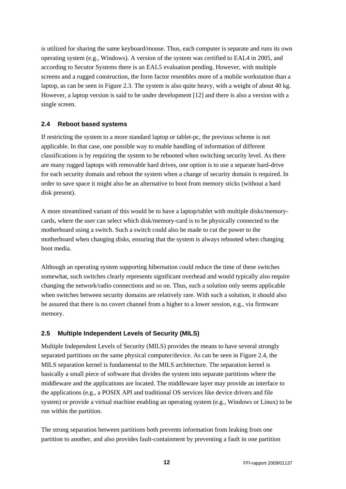<span id="page-11-0"></span>is utilized for sharing the same keyboard/mouse. Thus, each computer is separate and runs its own operating system (e.g., Windows). A version of the system was certified to EAL4 in 2005, and according to Secutor Systems there is an EAL5 evaluation pending. However, with multiple screens and a rugged construction, the form factor resembles more of a mobile workstation than a laptop, as can be seen in [Figure 2.3.](#page-10-0) The system is also quite heavy, with a weight of about 40 kg. However, a laptop version is said to be under development [12] and there is also a version with a single screen.

### **2.4 Reboot based systems**

If restricting the system to a more standard laptop or tablet-pc, the previous scheme is not applicable. In that case, one possible way to enable handling of information of different classifications is by requiring the system to be rebooted when switching security level. As there are many rugged laptops with removable hard drives, one option is to use a separate hard-drive for each security domain and reboot the system when a change of security domain is required. In order to save space it might also be an alternative to boot from memory sticks (without a hard disk present).

A more streamlined variant of this would be to have a laptop/tablet with multiple disks/memorycards, where the user can select which disk/memory-card is to be physically connected to the motherboard using a switch. Such a switch could also be made to cut the power to the motherboard when changing disks, ensuring that the system is always rebooted when changing boot media.

Although an operating system supporting hibernation could reduce the time of these switches somewhat, such switches clearly represents significant overhead and would typically also require changing the network/radio connections and so on. Thus, such a solution only seems applicable when switches between security domains are relatively rare. With such a solution, it should also be assured that there is no covert channel from a higher to a lower session, e.g., via firmware memory.

### **2.5 Multiple Independent Levels of Security (MILS)**

Multiple Independent Levels of Security (MILS) provides the means to have several strongly separated partitions on the same physical computer/device. As can be seen in Figure 2.4, the MILS separation kernel is fundamental to the MILS architecture. The separation kernel is basically a small piece of software that divides the system into separate partitions where the middleware and the applications are located. The middleware layer may provide an interface to the applications (e.g., a POSIX API and traditional OS services like device drivers and file system) or provide a virtual machine enabling an operating system (e.g., Windows or Linux) to be run within the partition.

The strong separation between partitions both prevents information from leaking from one partition to another, and also provides fault-containment by preventing a fault in one partition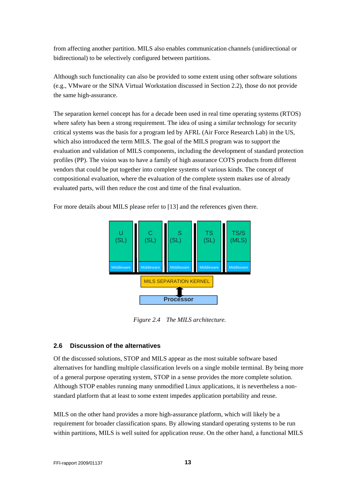<span id="page-12-0"></span>from affecting another partition. MILS also enables communication channels (unidirectional or bidirectional) to be selectively configured between partitions.

Although such functionality can also be provided to some extent using other software solutions (e.g., VMware or the SINA Virtual Workstation discussed in Section [2.2](#page-8-2)), those do not provide the same high-assurance.

The separation kernel concept has for a decade been used in real time operating systems (RTOS) where safety has been a strong requirement. The idea of using a similar technology for security critical systems was the basis for a program led by AFRL (Air Force Research Lab) in the US, which also introduced the term MILS. The goal of the MILS program was to support the evaluation and validation of MILS components, including the development of standard protection profiles (PP). The vision was to have a family of high assurance COTS products from different vendors that could be put together into complete systems of various kinds. The concept of compositional evaluation, where the evaluation of the complete system makes use of already evaluated parts, will then reduce the cost and time of the final evaluation.

For more details about MILS please refer to [13] and the references given there.



*Figure 2.4 The MILS architecture.*

### **2.6 Discussion of the alternatives**

Of the discussed solutions, STOP and MILS appear as the most suitable software based alternatives for handling multiple classification levels on a single mobile terminal. By being more of a general purpose operating system, STOP in a sense provides the more complete solution. Although STOP enables running many unmodified Linux applications, it is nevertheless a nonstandard platform that at least to some extent impedes application portability and reuse.

MILS on the other hand provides a more high-assurance platform, which will likely be a requirement for broader classification spans. By allowing standard operating systems to be run within partitions, MILS is well suited for application reuse. On the other hand, a functional MILS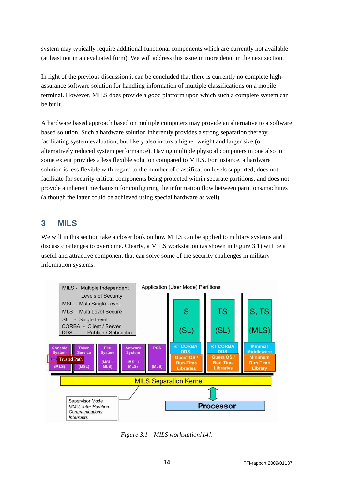<span id="page-13-0"></span>system may typically require additional functional components which are currently not available (at least not in an evaluated form). We will address this issue in more detail in the next section.

In light of the previous discussion it can be concluded that there is currently no complete highassurance software solution for handling information of multiple classifications on a mobile terminal. However, MILS does provide a good platform upon which such a complete system can be built.

A hardware based approach based on multiple computers may provide an alternative to a software based solution. Such a hardware solution inherently provides a strong separation thereby facilitating system evaluation, but likely also incurs a higher weight and larger size (or alternatively reduced system performance). Having multiple physical computers in one also to some extent provides a less flexible solution compared to MILS. For instance, a hardware solution is less flexible with regard to the number of classification levels supported, does not facilitate for security critical components being protected within separate partitions, and does not provide a inherent mechanism for configuring the information flow between partitions/machines (although the latter could be achieved using special hardware as well).

### **3 MILS**

We will in this section take a closer look on how MILS can be applied to military systems and discuss challenges to overcome. Clearly, a MILS workstation (as shown in [Figure 3.1\)](#page-13-1) will be a useful and attractive component that can solve some of the security challenges in military information systems.



<span id="page-13-1"></span>*Figure 3.1 MILS workstation[14].*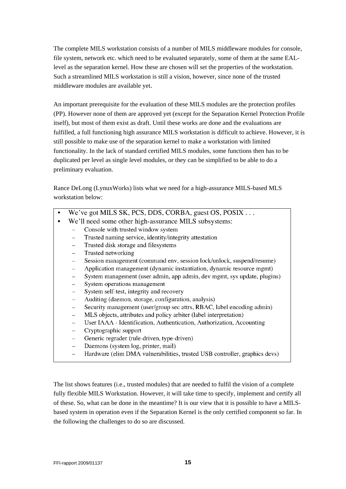The complete MILS workstation consists of a number of MILS middleware modules for console, file system, network etc. which need to be evaluated separately, some of them at the same EALlevel as the separation kernel. How these are chosen will set the properties of the workstation. Such a streamlined MILS workstation is still a vision, however, since none of the trusted middleware modules are available yet.

An important prerequisite for the evaluation of these MILS modules are the protection profiles (PP). However none of them are approved yet (except for the Separation Kernel Protection Profile itself), but most of them exist as draft. Until these works are done and the evaluations are fulfilled, a full functioning high assurance MILS workstation is difficult to achieve. However, it is still possible to make use of the separation kernel to make a workstation with limited functionality. In the lack of standard certified MILS modules, some functions then has to be duplicated per level as single level modules, or they can be simplified to be able to do a preliminary evaluation.

Rance DeLong (LynuxWorks) lists what we need for a high-assurance MILS-based MLS workstation below:

- We've got MILS SK, PCS, DDS, CORBA, guest OS, POSIX...
- We'll need some other high-assurance MILS subsystems:
	- Console with trusted window system
	- Trusted naming service, identity/integrity attestation
	- Trusted disk storage and filesystems
	- Trusted networking
	- Session management (command env, session lock/unlock, suspend/resume)
	- Application management (dynamic instantiation, dynamic resource mgmt)
	- System management (user admin, app admin, dev mgmt, sys update, plugins)  $\equiv$
	- System operations management
	- System self-test, integrity and recovery
	- Auditing (daemon, storage, configuration, analysis)
	- Security management (user/group sec attrs, RBAC, label encoding admin)
	- MLS objects, attributes and policy arbiter (label interpretation)
	- User IAAA Identification, Authentication, Authorization, Accounting
	- Cryptographic support
	- Generic regrader (rule-driven, type-driven)
	- Daemons (system log, printer, mail)
	- Hardware (elim DMA vulnerabilities, trusted USB controller, graphics devs)  $\equiv$

The list shows features (i.e., trusted modules) that are needed to fulfil the vision of a complete fully flexible MILS Workstation. However, it will take time to specify, implement and certify all of these. So, what can be done in the meantime? It is our view that it is possible to have a MILSbased system in operation even if the Separation Kernel is the only certified component so far. In the following the challenges to do so are discussed.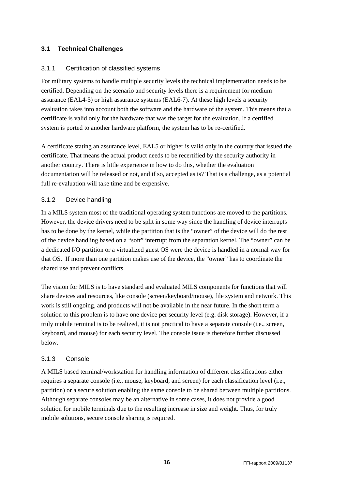### <span id="page-15-0"></span>**3.1 Technical Challenges**

### 3.1.1 Certification of classified systems

For military systems to handle multiple security levels the technical implementation needs to be certified. Depending on the scenario and security levels there is a requirement for medium assurance (EAL4-5) or high assurance systems (EAL6-7). At these high levels a security evaluation takes into account both the software and the hardware of the system. This means that a certificate is valid only for the hardware that was the target for the evaluation. If a certified system is ported to another hardware platform, the system has to be re-certified.

A certificate stating an assurance level, EAL5 or higher is valid only in the country that issued the certificate. That means the actual product needs to be recertified by the security authority in another country. There is little experience in how to do this, whether the evaluation documentation will be released or not, and if so, accepted as is? That is a challenge, as a potential full re-evaluation will take time and be expensive.

### 3.1.2 Device handling

In a MILS system most of the traditional operating system functions are moved to the partitions. However, the device drivers need to be split in some way since the handling of device interrupts has to be done by the kernel, while the partition that is the "owner" of the device will do the rest of the device handling based on a "soft" interrupt from the separation kernel. The "owner" can be a dedicated I/O partition or a virtualized guest OS were the device is handled in a normal way for that OS. If more than one partition makes use of the device, the "owner" has to coordinate the shared use and prevent conflicts.

The vision for MILS is to have standard and evaluated MILS components for functions that will share devices and resources, like console (screen/keyboard/mouse), file system and network. This work is still ongoing, and products will not be available in the near future. In the short term a solution to this problem is to have one device per security level (e.g. disk storage). However, if a truly mobile terminal is to be realized, it is not practical to have a separate console (i.e., screen, keyboard, and mouse) for each security level. The console issue is therefore further discussed below.

### <span id="page-15-1"></span>3.1.3 Console

A MILS based terminal/workstation for handling information of different classifications either requires a separate console (i.e., mouse, keyboard, and screen) for each classification level (i.e., partition) or a secure solution enabling the same console to be shared between multiple partitions. Although separate consoles may be an alternative in some cases, it does not provide a good solution for mobile terminals due to the resulting increase in size and weight. Thus, for truly mobile solutions, secure console sharing is required.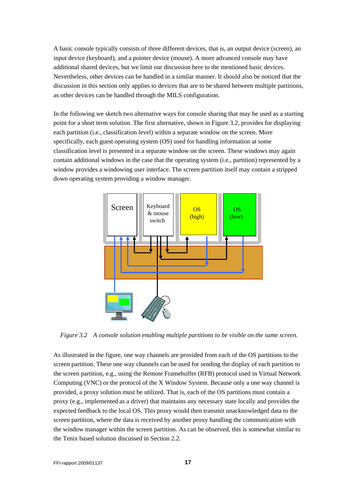A basic console typically consists of three different devices, that is, an output device (screen), an input device (keyboard), and a pointer device (mouse). A more advanced console may have additional shared devices, but we limit our discussion here to the mentioned basic devices. Nevertheless, other devices can be handled in a similar manner. It should also be noticed that the discussion in this section only applies to devices that are to be shared between multiple partitions, as other devices can be handled through the MILS configuration.

In the following we sketch two alternative ways for console sharing that may be used as a starting point for a short term solution. The first alternative, shown in [Figure 3.2,](#page-16-0) provides for displaying each partition (i.e., classification level) within a separate window on the screen. More specifically, each guest operating system (OS) used for handling information at some classification level is presented in a separate window on the screen. These windows may again contain additional windows in the case that the operating system (i.e., partition) represented by a window provides a windowing user interface. The screen partition itself may contain a stripped down operating system providing a window manager.



*Figure 3.2 A console solution enabling multiple partitions to be visible on the same screen.*

<span id="page-16-0"></span>As illustrated in the figure, one way channels are provided from each of the OS partitions to the screen partition. These one way channels can be used for sending the display of each partition to the screen partition, e.g., using the Remote Framebuffer (RFB) protocol used in Virtual Network Computing (VNC) or the protocol of the X Window System. Because only a one way channel is provided, a proxy solution must be utilized. That is, each of the OS partitions must contain a proxy (e.g., implemented as a driver) that maintains any necessary state locally and provides the expected feedback to the local OS. This proxy would then transmit unacknowledged data to the screen partition, where the data is received by another proxy handling the communication with the window manager within the screen partition. As can be observed, this is somewhat similar to the Tenix based solution discussed in Section [2.2.](#page-8-2)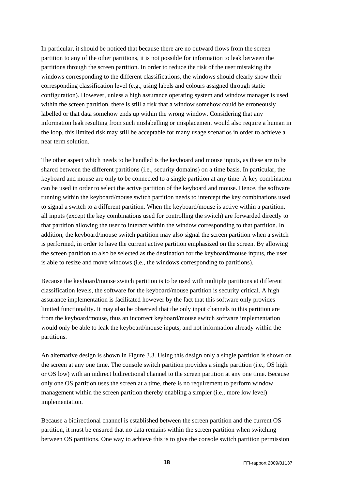In particular, it should be noticed that because there are no outward flows from the screen partition to any of the other partitions, it is not possible for information to leak between the partitions through the screen partition. In order to reduce the risk of the user mistaking the windows corresponding to the different classifications, the windows should clearly show their corresponding classification level (e.g., using labels and colours assigned through static configuration). However, unless a high assurance operating system and window manager is used within the screen partition, there is still a risk that a window somehow could be erroneously labelled or that data somehow ends up within the wrong window. Considering that any information leak resulting from such mislabelling or misplacement would also require a human in the loop, this limited risk may still be acceptable for many usage scenarios in order to achieve a near term solution.

The other aspect which needs to be handled is the keyboard and mouse inputs, as these are to be shared between the different partitions (i.e., security domains) on a time basis. In particular, the keyboard and mouse are only to be connected to a single partition at any time. A key combination can be used in order to select the active partition of the keyboard and mouse. Hence, the software running within the keyboard/mouse switch partition needs to intercept the key combinations used to signal a switch to a different partition. When the keyboard/mouse is active within a partition, all inputs (except the key combinations used for controlling the switch) are forwarded directly to that partition allowing the user to interact within the window corresponding to that partition. In addition, the keyboard/mouse switch partition may also signal the screen partition when a switch is performed, in order to have the current active partition emphasized on the screen. By allowing the screen partition to also be selected as the destination for the keyboard/mouse inputs, the user is able to resize and move windows (i.e., the windows corresponding to partitions).

Because the keyboard/mouse switch partition is to be used with multiple partitions at different classification levels, the software for the keyboard/mouse partition is security critical. A high assurance implementation is facilitated however by the fact that this software only provides limited functionality. It may also be observed that the only input channels to this partition are from the keyboard/mouse, thus an incorrect keyboard/mouse switch software implementation would only be able to leak the keyboard/mouse inputs, and not information already within the partitions.

An alternative design is shown in [Figure 3.3.](#page-18-0) Using this design only a single partition is shown on the screen at any one time. The console switch partition provides a single partition (i.e., OS high or OS low) with an indirect bidirectional channel to the screen partition at any one time. Because only one OS partition uses the screen at a time, there is no requirement to perform window management within the screen partition thereby enabling a simpler (i.e., more low level) implementation.

Because a bidirectional channel is established between the screen partition and the current OS partition, it must be ensured that no data remains within the screen partition when switching between OS partitions. One way to achieve this is to give the console switch partition permission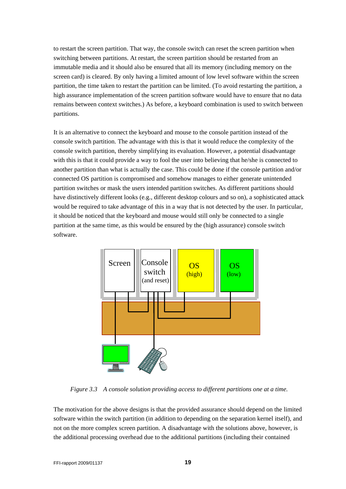to restart the screen partition. That way, the console switch can reset the screen partition when switching between partitions. At restart, the screen partition should be restarted from an immutable media and it should also be ensured that all its memory (including memory on the screen card) is cleared. By only having a limited amount of low level software within the screen partition, the time taken to restart the partition can be limited. (To avoid restarting the partition, a high assurance implementation of the screen partition software would have to ensure that no data remains between context switches.) As before, a keyboard combination is used to switch between partitions.

It is an alternative to connect the keyboard and mouse to the console partition instead of the console switch partition. The advantage with this is that it would reduce the complexity of the console switch partition, thereby simplifying its evaluation. However, a potential disadvantage with this is that it could provide a way to fool the user into believing that he/she is connected to another partition than what is actually the case. This could be done if the console partition and/or connected OS partition is compromised and somehow manages to either generate unintended partition switches or mask the users intended partition switches. As different partitions should have distinctively different looks (e.g., different desktop colours and so on), a sophisticated attack would be required to take advantage of this in a way that is not detected by the user. In particular, it should be noticed that the keyboard and mouse would still only be connected to a single partition at the same time, as this would be ensured by the (high assurance) console switch software.



*Figure 3.3 A console solution providing access to different partitions one at a time.* 

<span id="page-18-0"></span>The motivation for the above designs is that the provided assurance should depend on the limited software within the switch partition (in addition to depending on the separation kernel itself), and not on the more complex screen partition. A disadvantage with the solutions above, however, is the additional processing overhead due to the additional partitions (including their contained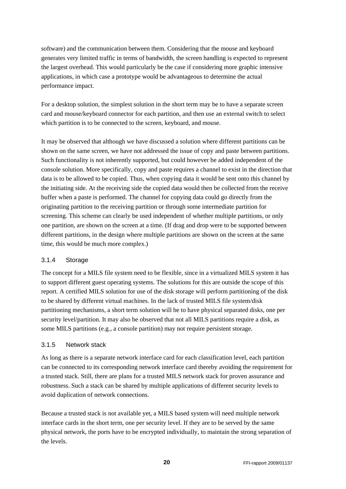<span id="page-19-0"></span>software) and the communication between them. Considering that the mouse and keyboard generates very limited traffic in terms of bandwidth, the screen handling is expected to represent the largest overhead. This would particularly be the case if considering more graphic intensive applications, in which case a prototype would be advantageous to determine the actual performance impact.

For a desktop solution, the simplest solution in the short term may be to have a separate screen card and mouse/keyboard connector for each partition, and then use an external switch to select which partition is to be connected to the screen, keyboard, and mouse.

It may be observed that although we have discussed a solution where different partitions can be shown on the same screen, we have not addressed the issue of copy and paste between partitions. Such functionality is not inherently supported, but could however be added independent of the console solution. More specifically, copy and paste requires a channel to exist in the direction that data is to be allowed to be copied. Thus, when copying data it would be sent onto this channel by the initiating side. At the receiving side the copied data would then be collected from the receive buffer when a paste is performed. The channel for copying data could go directly from the originating partition to the receiving partition or through some intermediate partition for screening. This scheme can clearly be used independent of whether multiple partitions, or only one partition, are shown on the screen at a time. (If drag and drop were to be supported between different partitions, in the design where multiple partitions are shown on the screen at the same time, this would be much more complex.)

### 3.1.4 Storage

The concept for a MILS file system need to be flexible, since in a virtualized MILS system it has to support different guest operating systems. The solutions for this are outside the scope of this report. A certified MILS solution for use of the disk storage will perform partitioning of the disk to be shared by different virtual machines. In the lack of trusted MILS file system/disk partitioning mechanisms, a short term solution will be to have physical separated disks, one per security level/partition. It may also be observed that not all MILS partitions require a disk, as some MILS partitions (e.g., a console partition) may not require persistent storage.

### 3.1.5 Network stack

As long as there is a separate network interface card for each classification level, each partition can be connected to its corresponding network interface card thereby avoiding the requirement for a trusted stack. Still, there are plans for a trusted MILS network stack for proven assurance and robustness. Such a stack can be shared by multiple applications of different security levels to avoid duplication of network connections.

Because a trusted stack is not available yet, a MILS based system will need multiple network interface cards in the short term, one per security level. If they are to be served by the same physical network, the ports have to be encrypted individually, to maintain the strong separation of the levels.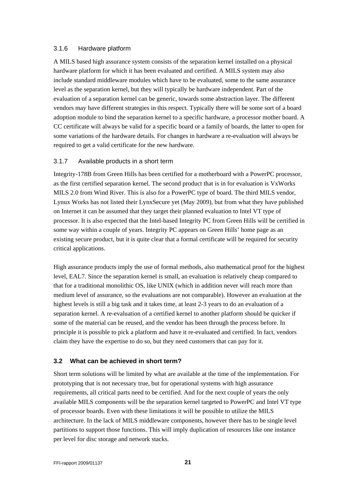#### <span id="page-20-0"></span>3.1.6 Hardware platform

A MILS based high assurance system consists of the separation kernel installed on a physical hardware platform for which it has been evaluated and certified. A MILS system may also include standard middleware modules which have to be evaluated, some to the same assurance level as the separation kernel, but they will typically be hardware independent. Part of the evaluation of a separation kernel can be generic, towards some abstraction layer. The different vendors may have different strategies in this respect. Typically there will be some sort of a board adoption module to bind the separation kernel to a specific hardware, a processor mother board. A CC certificate will always be valid for a specific board or a family of boards, the latter to open for some variations of the hardware details. For changes in hardware a re-evaluation will always be required to get a valid certificate for the new hardware.

### 3.1.7 Available products in a short term

Integrity-178B from Green Hills has been certified for a motherboard with a PowerPC processor, as the first certified separation kernel. The second product that is in for evaluation is VxWorks MILS 2.0 from Wind River. This is also for a PowerPC type of board. The third MILS vendor, Lynux Works has not listed their LynxSecure yet (May 2009), but from what they have published on Internet it can be assumed that they target their planned evaluation to Intel VT type of processor. It is also expected that the Intel-based Integrity PC from Green Hills will be certified in some way within a couple of years. Integrity PC appears on Green Hills' home page as an existing secure product, but it is quite clear that a formal certificate will be required for security critical applications.

High assurance products imply the use of formal methods, also mathematical proof for the highest level, EAL7. Since the separation kernel is small, an evaluation is relatively cheap compared to that for a traditional monolithic OS, like UNIX (which in addition never will reach more than medium level of assurance, so the evaluations are not comparable). However an evaluation at the highest levels is still a big task and it takes time, at least 2-3 years to do an evaluation of a separation kernel. A re-evaluation of a certified kernel to another platform should be quicker if some of the material can be reused, and the vendor has been through the process before. In principle it is possible to pick a platform and have it re-evaluated and certified. In fact, vendors claim they have the expertise to do so, but they need customers that can pay for it.

### **3.2 What can be achieved in short term?**

Short term solutions will be limited by what are available at the time of the implementation. For prototyping that is not necessary true, but for operational systems with high assurance requirements, all critical parts need to be certified. And for the next couple of years the only available MILS components will be the separation kernel targeted to PowerPC and Intel VT type of processor boards. Even with these limitations it will be possible to utilize the MILS architecture. In the lack of MILS middleware components, however there has to be single level partitions to support those functions. This will imply duplication of resources like one instance per level for disc storage and network stacks.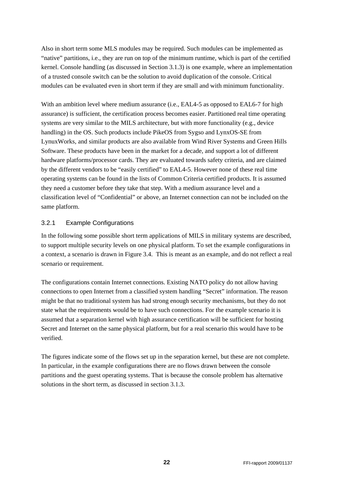<span id="page-21-0"></span>Also in short term some MLS modules may be required. Such modules can be implemented as "native" partitions, i.e., they are run on top of the minimum runtime, which is part of the certified kernel. Console handling (as discussed in Section [3.1.3\)](#page-15-1) is one example, where an implementation of a trusted console switch can be the solution to avoid duplication of the console. Critical modules can be evaluated even in short term if they are small and with minimum functionality.

With an ambition level where medium assurance (i.e., EAL4-5 as opposed to EAL6-7 for high assurance) is sufficient, the certification process becomes easier. Partitioned real time operating systems are very similar to the MILS architecture, but with more functionality (e.g., device handling) in the OS. Such products include PikeOS from Sygso and LynxOS-SE from LynuxWorks, and similar products are also available from Wind River Systems and Green Hills Software. These products have been in the market for a decade, and support a lot of different hardware platforms/processor cards. They are evaluated towards safety criteria, and are claimed by the different vendors to be "easily certified" to EAL4-5. However none of these real time operating systems can be found in the lists of Common Criteria certified products. It is assumed they need a customer before they take that step. With a medium assurance level and a classification level of "Confidential" or above, an Internet connection can not be included on the same platform.

#### 3.2.1 Example Configurations

In the following some possible short term applications of MILS in military systems are described, to support multiple security levels on one physical platform. To set the example configurations in a context, a scenario is drawn in [Figure 3.4](#page-22-0). This is meant as an example, and do not reflect a real scenario or requirement.

The configurations contain Internet connections. Existing NATO policy do not allow having connections to open Internet from a classified system handling "Secret" information. The reason might be that no traditional system has had strong enough security mechanisms, but they do not state what the requirements would be to have such connections. For the example scenario it is assumed that a separation kernel with high assurance certification will be sufficient for hosting Secret and Internet on the same physical platform, but for a real scenario this would have to be verified.

The figures indicate some of the flows set up in the separation kernel, but these are not complete. In particular, in the example configurations there are no flows drawn between the console partitions and the guest operating systems. That is because the console problem has alternative solutions in the short term, as discussed in section [3.1.3](#page-15-1).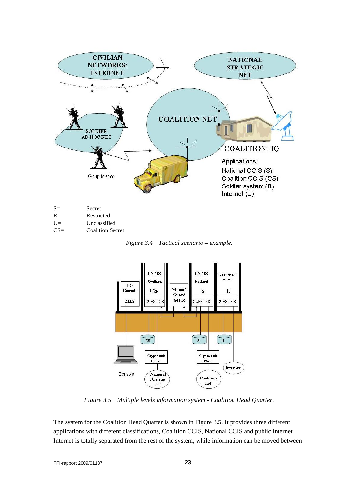

| $\mathbf{v}$ | nesuntu      |
|--------------|--------------|
| $U=$         | Unclassified |

<span id="page-22-0"></span>

| $CS=$ | <b>Coalition Secret</b> |  |
|-------|-------------------------|--|
|       |                         |  |

*Figure 3.4 Tactical scenario – example.* 



*Figure 3.5 Multiple levels information system - Coalition Head Quarter.* 

<span id="page-22-1"></span>The system for the Coalition Head Quarter is shown in [Figure 3.5](#page-22-1). It provides three different applications with different classifications, Coalition CCIS, National CCIS and public Internet. Internet is totally separated from the rest of the system, while information can be moved between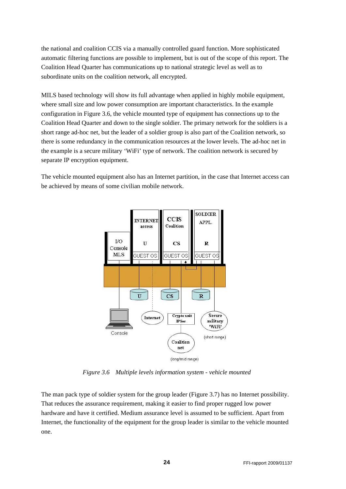the national and coalition CCIS via a manually controlled guard function. More sophisticated automatic filtering functions are possible to implement, but is out of the scope of this report. The Coalition Head Quarter has communications up to national strategic level as well as to subordinate units on the coalition network, all encrypted.

MILS based technology will show its full advantage when applied in highly mobile equipment, where small size and low power consumption are important characteristics. In the example configuration in [Figure 3.6,](#page-23-0) the vehicle mounted type of equipment has connections up to the Coalition Head Quarter and down to the single soldier. The primary network for the soldiers is a short range ad-hoc net, but the leader of a soldier group is also part of the Coalition network, so there is some redundancy in the communication resources at the lower levels. The ad-hoc net in the example is a secure military 'WiFi' type of network. The coalition network is secured by separate IP encryption equipment.

The vehicle mounted equipment also has an Internet partition, in the case that Internet access can be achieved by means of some civilian mobile network.



*Figure 3.6 Multiple levels information system - vehicle mounted* 

<span id="page-23-0"></span>The man pack type of soldier system for the group leader [\(Figure 3.7](#page-24-0)) has no Internet possibility. That reduces the assurance requirement, making it easier to find proper rugged low power hardware and have it certified. Medium assurance level is assumed to be sufficient. Apart from Internet, the functionality of the equipment for the group leader is similar to the vehicle mounted one.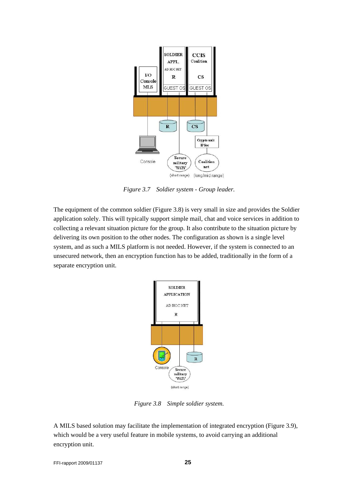

*Figure 3.7 Soldier system - Group leader.* 

<span id="page-24-0"></span>The equipment of the common soldier ([Figure 3.8](#page-24-1)) is very small in size and provides the Soldier application solely. This will typically support simple mail, chat and voice services in addition to collecting a relevant situation picture for the group. It also contribute to the situation picture by delivering its own position to the other nodes. The configuration as shown is a single level system, and as such a MILS platform is not needed. However, if the system is connected to an unsecured network, then an encryption function has to be added, traditionally in the form of a separate encryption unit.



*Figure 3.8 Simple soldier system.* 

<span id="page-24-1"></span>A MILS based solution may facilitate the implementation of integrated encryption [\(Figure 3.9](#page-25-1)), which would be a very useful feature in mobile systems, to avoid carrying an additional encryption unit.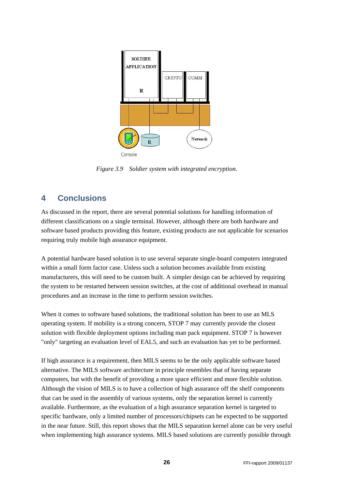<span id="page-25-0"></span>

*Figure 3.9 Soldier system with integrated encryption.* 

### <span id="page-25-1"></span>**4 Conclusions**

As discussed in the report, there are several potential solutions for handling information of different classifications on a single terminal. However, although there are both hardware and software based products providing this feature, existing products are not applicable for scenarios requiring truly mobile high assurance equipment.

A potential hardware based solution is to use several separate single-board computers integrated within a small form factor case. Unless such a solution becomes available from existing manufacturers, this will need to be custom built. A simpler design can be achieved by requiring the system to be restarted between session switches, at the cost of additional overhead in manual procedures and an increase in the time to perform session switches.

When it comes to software based solutions, the traditional solution has been to use an MLS operating system. If mobility is a strong concern, STOP 7 may currently provide the closest solution with flexible deployment options including man pack equipment. STOP 7 is however "only" targeting an evaluation level of EAL5, and such an evaluation has yet to be performed.

If high assurance is a requirement, then MILS seems to be the only applicable software based alternative. The MILS software architecture in principle resembles that of having separate computers, but with the benefit of providing a more space efficient and more flexible solution. Although the vision of MILS is to have a collection of high assurance off the shelf components that can be used in the assembly of various systems, only the separation kernel is currently available. Furthermore, as the evaluation of a high assurance separation kernel is targeted to specific hardware, only a limited number of processors/chipsets can be expected to be supported in the near future. Still, this report shows that the MILS separation kernel alone can be very useful when implementing high assurance systems. MILS based solutions are currently possible through